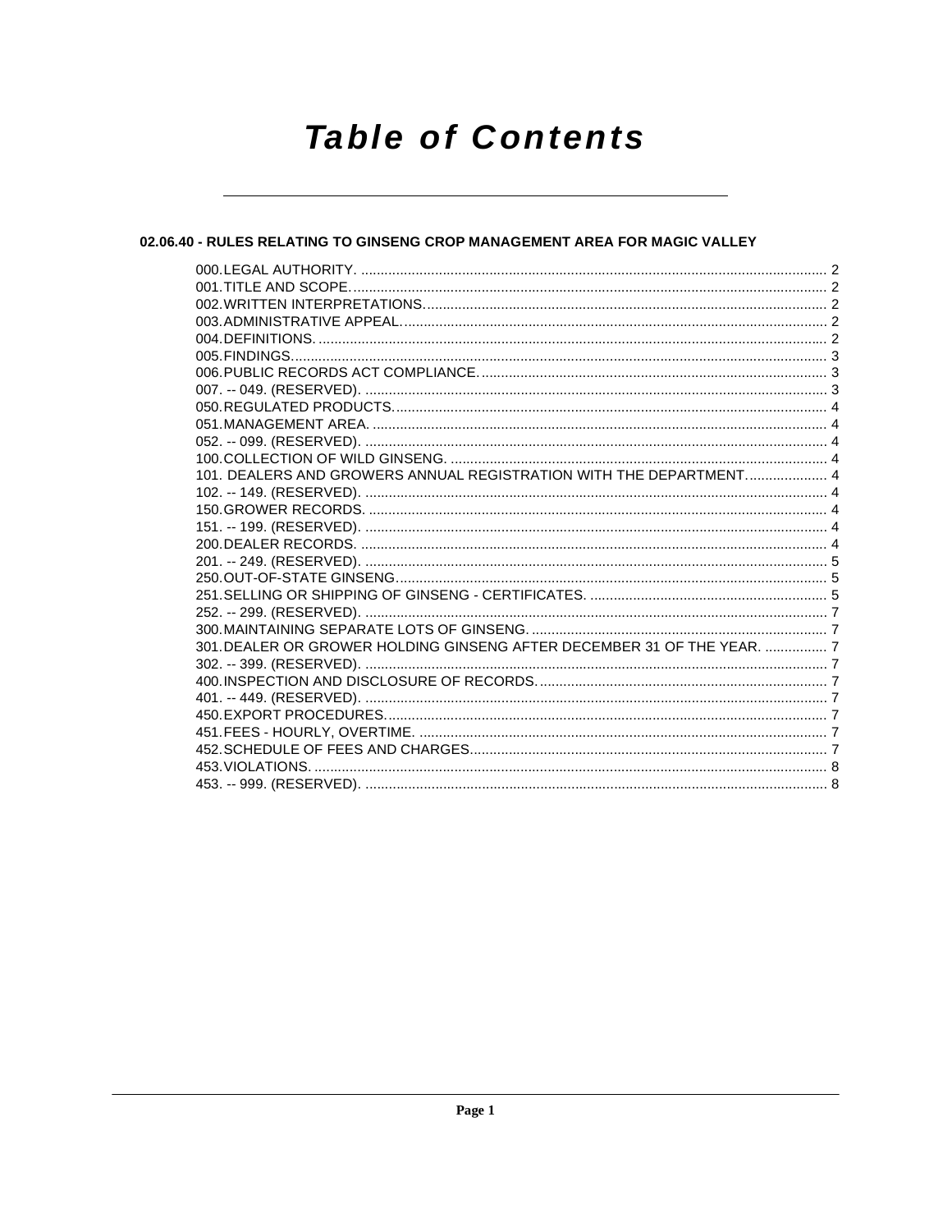# **Table of Contents**

# 02.06.40 - RULES RELATING TO GINSENG CROP MANAGEMENT AREA FOR MAGIC VALLEY

| 101. DEALERS AND GROWERS ANNUAL REGISTRATION WITH THE DEPARTMENT 4      |  |
|-------------------------------------------------------------------------|--|
|                                                                         |  |
|                                                                         |  |
|                                                                         |  |
|                                                                         |  |
|                                                                         |  |
|                                                                         |  |
|                                                                         |  |
|                                                                         |  |
|                                                                         |  |
| 301. DEALER OR GROWER HOLDING GINSENG AFTER DECEMBER 31 OF THE YEAR.  7 |  |
|                                                                         |  |
|                                                                         |  |
|                                                                         |  |
|                                                                         |  |
|                                                                         |  |
|                                                                         |  |
|                                                                         |  |
|                                                                         |  |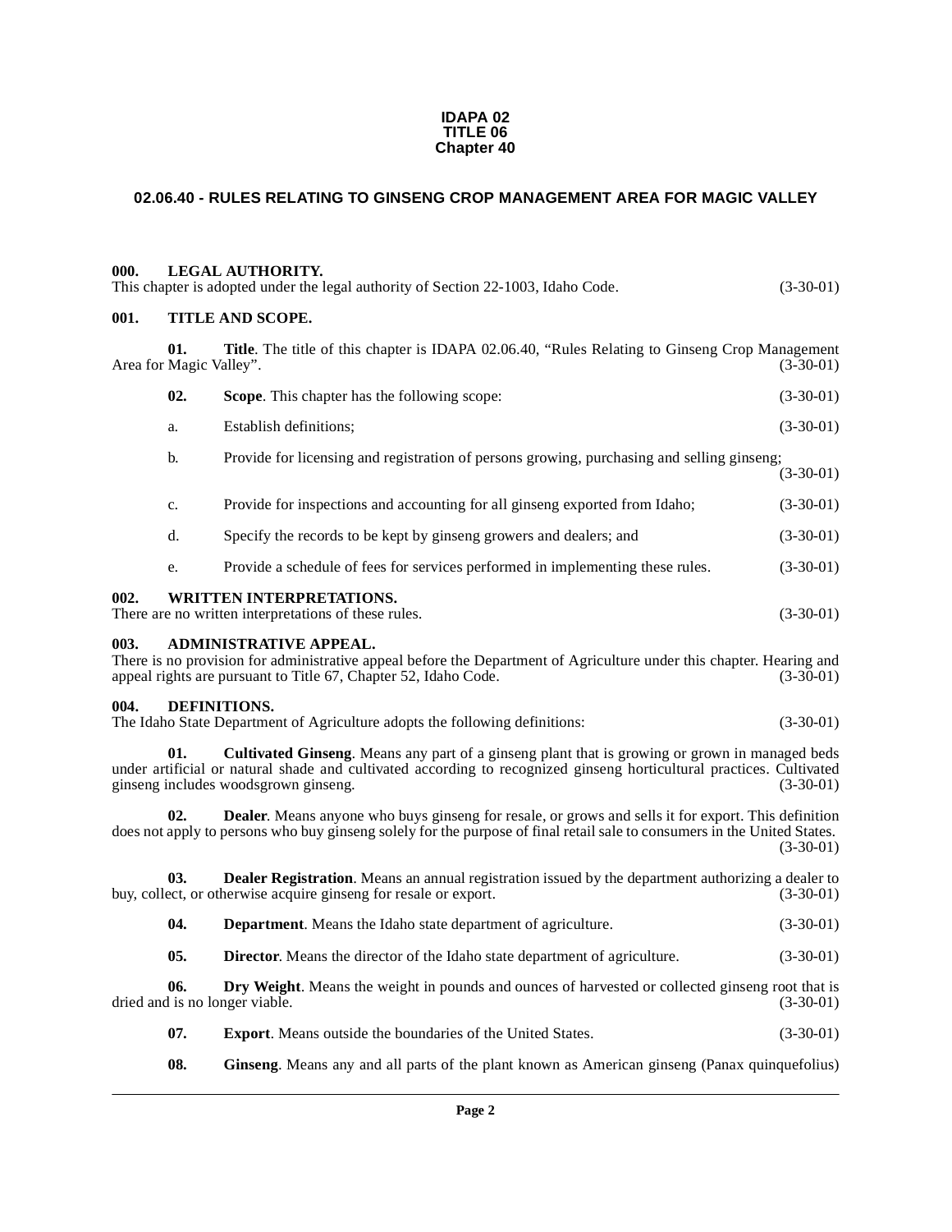#### **IDAPA 02 TITLE 06 Chapter 40**

# <span id="page-1-0"></span>**02.06.40 - RULES RELATING TO GINSENG CROP MANAGEMENT AREA FOR MAGIC VALLEY**

<span id="page-1-11"></span><span id="page-1-10"></span><span id="page-1-9"></span><span id="page-1-8"></span><span id="page-1-7"></span><span id="page-1-6"></span><span id="page-1-5"></span><span id="page-1-4"></span><span id="page-1-3"></span><span id="page-1-2"></span><span id="page-1-1"></span>

| 000. |                                | <b>LEGAL AUTHORITY.</b><br>This chapter is adopted under the legal authority of Section 22-1003, Idaho Code.                                                                                                                                                   | $(3-30-01)$ |
|------|--------------------------------|----------------------------------------------------------------------------------------------------------------------------------------------------------------------------------------------------------------------------------------------------------------|-------------|
| 001. |                                | <b>TITLE AND SCOPE.</b>                                                                                                                                                                                                                                        |             |
|      | 01.<br>Area for Magic Valley". | Title. The title of this chapter is IDAPA 02.06.40, "Rules Relating to Ginseng Crop Management                                                                                                                                                                 | $(3-30-01)$ |
|      | 02.                            | Scope. This chapter has the following scope:                                                                                                                                                                                                                   | $(3-30-01)$ |
|      | a.                             | <b>Establish definitions:</b>                                                                                                                                                                                                                                  | $(3-30-01)$ |
|      | b.                             | Provide for licensing and registration of persons growing, purchasing and selling ginseng;                                                                                                                                                                     | $(3-30-01)$ |
|      | c.                             | Provide for inspections and accounting for all ginseng exported from Idaho;                                                                                                                                                                                    | $(3-30-01)$ |
|      | d.                             | Specify the records to be kept by ginseng growers and dealers; and                                                                                                                                                                                             | $(3-30-01)$ |
|      | e.                             | Provide a schedule of fees for services performed in implementing these rules.                                                                                                                                                                                 | $(3-30-01)$ |
| 002. |                                | <b>WRITTEN INTERPRETATIONS.</b><br>There are no written interpretations of these rules.                                                                                                                                                                        | $(3-30-01)$ |
| 003. |                                | <b>ADMINISTRATIVE APPEAL.</b><br>There is no provision for administrative appeal before the Department of Agriculture under this chapter. Hearing and<br>appeal rights are pursuant to Title 67, Chapter 52, Idaho Code.                                       | $(3-30-01)$ |
| 004. |                                | DEFINITIONS.<br>The Idaho State Department of Agriculture adopts the following definitions:                                                                                                                                                                    | $(3-30-01)$ |
|      | 01.                            | Cultivated Ginseng. Means any part of a ginseng plant that is growing or grown in managed beds<br>under artificial or natural shade and cultivated according to recognized ginseng horticultural practices. Cultivated<br>ginseng includes woodsgrown ginseng. | $(3-30-01)$ |
|      | 02.                            | <b>Dealer.</b> Means anyone who buys ginseng for resale, or grows and sells it for export. This definition<br>does not apply to persons who buy ginseng solely for the purpose of final retail sale to consumers in the United States.                         | $(3-30-01)$ |
|      | 03.                            | Dealer Registration. Means an annual registration issued by the department authorizing a dealer to<br>buy, collect, or otherwise acquire ginseng for resale or export.                                                                                         | $(3-30-01)$ |
|      | 04.                            | Department. Means the Idaho state department of agriculture.                                                                                                                                                                                                   | $(3-30-01)$ |
|      | 05.                            | Director. Means the director of the Idaho state department of agriculture.                                                                                                                                                                                     | $(3-30-01)$ |
|      | 06.                            | Dry Weight. Means the weight in pounds and ounces of harvested or collected ginseng root that is<br>dried and is no longer viable.                                                                                                                             | $(3-30-01)$ |
|      | 07.                            | <b>Export.</b> Means outside the boundaries of the United States.                                                                                                                                                                                              | $(3-30-01)$ |
|      | 08.                            | Ginseng. Means any and all parts of the plant known as American ginseng (Panax quinquefolius)                                                                                                                                                                  |             |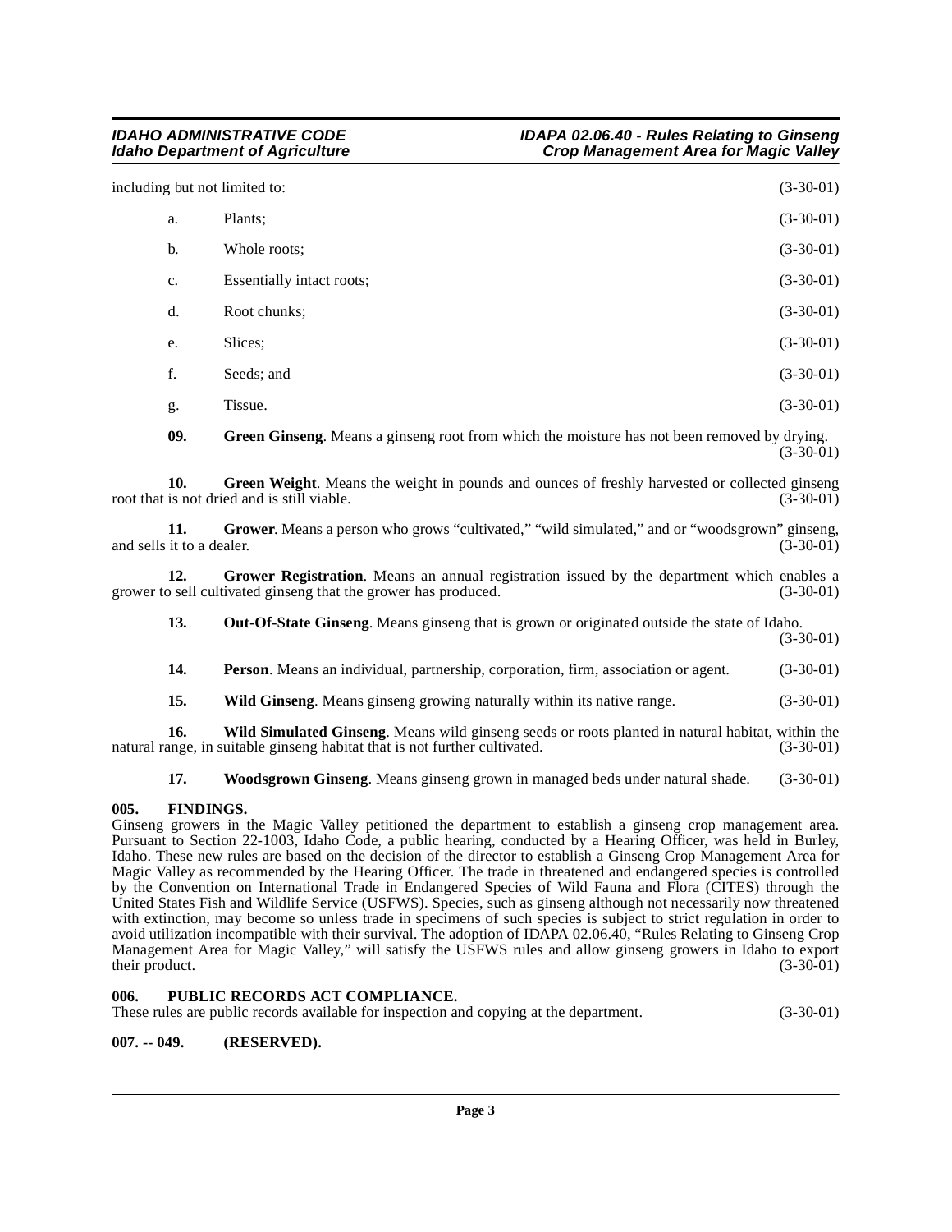including but not limited to: (3-30-01)

| a. | Plants;                   | $(3-30-01)$ |  |
|----|---------------------------|-------------|--|
| b. | Whole roots;              | $(3-30-01)$ |  |
| c. | Essentially intact roots; | $(3-30-01)$ |  |
| d. | Root chunks;              | $(3-30-01)$ |  |
| e. | Slices;                   | $(3-30-01)$ |  |
| f. | Seeds; and                | $(3-30-01)$ |  |
| g. | Tissue.                   | $(3-30-01)$ |  |
|    |                           |             |  |

<span id="page-2-6"></span><span id="page-2-4"></span><span id="page-2-3"></span>**09. Green Ginseng**. Means a ginseng root from which the moisture has not been removed by drying. (3-30-01)

**10.** Green Weight. Means the weight in pounds and ounces of freshly harvested or collected ginseng is not dried and is still viable. (3-30-01) root that is not dried and is still viable.

**11.** Grower. Means a person who grows "cultivated," "wild simulated," and or "woodsgrown" ginseng, it to a dealer. (3-30-01) and sells it to a dealer.

**12. Grower Registration**. Means an annual registration issued by the department which enables a o sell cultivated ginseng that the grower has produced. (3-30-01) grower to sell cultivated ginseng that the grower has produced.

<span id="page-2-5"></span>**13. Out-Of-State Ginseng**. Means ginseng that is grown or originated outside the state of Idaho. (3-30-01)

- **14. Person**. Means an individual, partnership, corporation, firm, association or agent. (3-30-01)
- <span id="page-2-8"></span><span id="page-2-7"></span>**15.** Wild Ginseng. Means ginseng growing naturally within its native range.  $(3-30-01)$

**16. Wild Simulated Ginseng**. Means wild ginseng seeds or roots planted in natural habitat, within the ange, in suitable ginseng habitat that is not further cultivated.  $(3-30-01)$ natural range, in suitable ginseng habitat that is not further cultivated.

<span id="page-2-9"></span>**17. Woodsgrown Ginseng**. Means ginseng grown in managed beds under natural shade. (3-30-01)

#### <span id="page-2-0"></span>**005. FINDINGS.**

Ginseng growers in the Magic Valley petitioned the department to establish a ginseng crop management area. Pursuant to Section 22-1003, Idaho Code, a public hearing, conducted by a Hearing Officer, was held in Burley, Idaho. These new rules are based on the decision of the director to establish a Ginseng Crop Management Area for Magic Valley as recommended by the Hearing Officer. The trade in threatened and endangered species is controlled by the Convention on International Trade in Endangered Species of Wild Fauna and Flora (CITES) through the United States Fish and Wildlife Service (USFWS). Species, such as ginseng although not necessarily now threatened with extinction, may become so unless trade in specimens of such species is subject to strict regulation in order to avoid utilization incompatible with their survival. The adoption of IDAPA 02.06.40, "Rules Relating to Ginseng Crop Management Area for Magic Valley," will satisfy the USFWS rules and allow ginseng growers in Idaho to export their product. (3-30-01) their product.

#### <span id="page-2-1"></span>**006. PUBLIC RECORDS ACT COMPLIANCE.**

These rules are public records available for inspection and copying at the department. (3-30-01)

#### <span id="page-2-2"></span>**007. -- 049. (RESERVED).**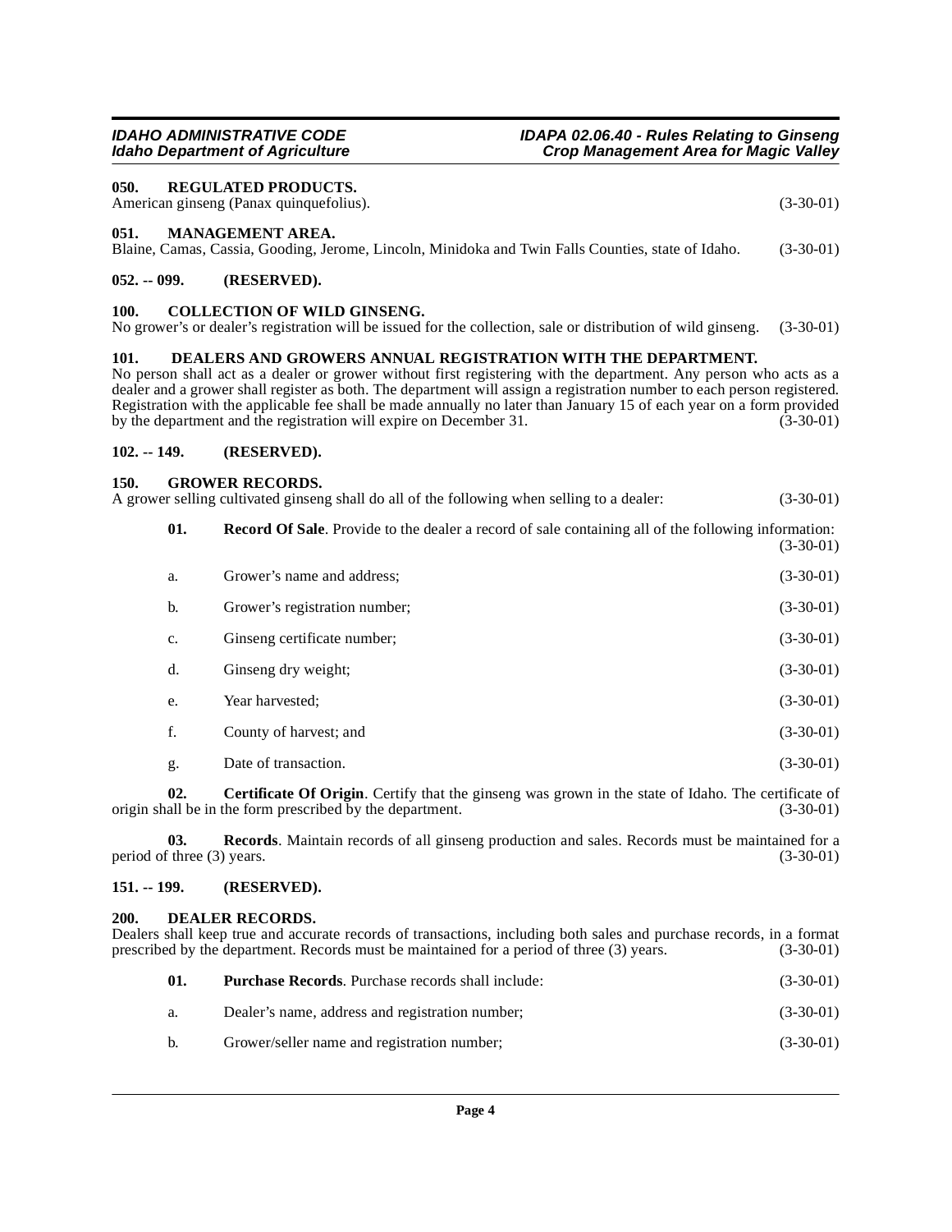<span id="page-3-16"></span><span id="page-3-14"></span><span id="page-3-13"></span><span id="page-3-12"></span><span id="page-3-10"></span><span id="page-3-6"></span><span id="page-3-5"></span><span id="page-3-4"></span><span id="page-3-3"></span><span id="page-3-2"></span><span id="page-3-1"></span><span id="page-3-0"></span>

|               |                                   | <b>Idaho Department of Agriculture</b>                                                                                                                                                                                                                                                                                                                                                                                                                                                                     | <b>Crop Management Area for Magic Valley</b> |             |
|---------------|-----------------------------------|------------------------------------------------------------------------------------------------------------------------------------------------------------------------------------------------------------------------------------------------------------------------------------------------------------------------------------------------------------------------------------------------------------------------------------------------------------------------------------------------------------|----------------------------------------------|-------------|
| 050.          |                                   | <b>REGULATED PRODUCTS.</b><br>American ginseng (Panax quinquefolius).                                                                                                                                                                                                                                                                                                                                                                                                                                      |                                              | $(3-30-01)$ |
| 051.          |                                   | MANAGEMENT AREA.<br>Blaine, Camas, Cassia, Gooding, Jerome, Lincoln, Minidoka and Twin Falls Counties, state of Idaho.                                                                                                                                                                                                                                                                                                                                                                                     |                                              | $(3-30-01)$ |
| $052. - 099.$ |                                   | (RESERVED).                                                                                                                                                                                                                                                                                                                                                                                                                                                                                                |                                              |             |
| 100.          |                                   | <b>COLLECTION OF WILD GINSENG.</b><br>No grower's or dealer's registration will be issued for the collection, sale or distribution of wild ginseng.                                                                                                                                                                                                                                                                                                                                                        |                                              | $(3-30-01)$ |
| 101.          |                                   | DEALERS AND GROWERS ANNUAL REGISTRATION WITH THE DEPARTMENT.<br>No person shall act as a dealer or grower without first registering with the department. Any person who acts as a<br>dealer and a grower shall register as both. The department will assign a registration number to each person registered.<br>Registration with the applicable fee shall be made annually no later than January 15 of each year on a form provided<br>by the department and the registration will expire on December 31. |                                              | $(3-30-01)$ |
| $102. - 149.$ |                                   | (RESERVED).                                                                                                                                                                                                                                                                                                                                                                                                                                                                                                |                                              |             |
| 150.          |                                   | <b>GROWER RECORDS.</b><br>A grower selling cultivated ginseng shall do all of the following when selling to a dealer:                                                                                                                                                                                                                                                                                                                                                                                      |                                              | $(3-30-01)$ |
|               | 01.                               | <b>Record Of Sale</b> . Provide to the dealer a record of sale containing all of the following information:                                                                                                                                                                                                                                                                                                                                                                                                |                                              | $(3-30-01)$ |
|               | a.                                | Grower's name and address;                                                                                                                                                                                                                                                                                                                                                                                                                                                                                 |                                              | $(3-30-01)$ |
|               | b.                                | Grower's registration number;                                                                                                                                                                                                                                                                                                                                                                                                                                                                              |                                              | $(3-30-01)$ |
|               | c.                                | Ginseng certificate number;                                                                                                                                                                                                                                                                                                                                                                                                                                                                                |                                              | $(3-30-01)$ |
|               | d.                                | Ginseng dry weight;                                                                                                                                                                                                                                                                                                                                                                                                                                                                                        |                                              | $(3-30-01)$ |
|               | e.                                | Year harvested;                                                                                                                                                                                                                                                                                                                                                                                                                                                                                            |                                              | $(3-30-01)$ |
|               | f.                                | County of harvest; and                                                                                                                                                                                                                                                                                                                                                                                                                                                                                     |                                              | $(3-30-01)$ |
|               | g.                                | Date of transaction.                                                                                                                                                                                                                                                                                                                                                                                                                                                                                       |                                              | $(3-30-01)$ |
|               | 02.                               | Certificate Of Origin. Certify that the ginseng was grown in the state of Idaho. The certificate of<br>origin shall be in the form prescribed by the department.                                                                                                                                                                                                                                                                                                                                           |                                              | $(3-30-01)$ |
|               | 03.<br>period of three (3) years. | <b>Records.</b> Maintain records of all ginseng production and sales. Records must be maintained for a                                                                                                                                                                                                                                                                                                                                                                                                     |                                              | $(3-30-01)$ |
| $151. - 199.$ |                                   | (RESERVED).                                                                                                                                                                                                                                                                                                                                                                                                                                                                                                |                                              |             |

**IDAHO ADMINISTRATIVE CODE IDAPA 02.06.40 - Rules Relating to Ginseng**

# <span id="page-3-11"></span><span id="page-3-9"></span><span id="page-3-8"></span><span id="page-3-7"></span>**200. DEALER RECORDS.**

Dealers shall keep true and accurate records of transactions, including both sales and purchase records, in a format prescribed by the department. Records must be maintained for a period of three (3) years. (3-30-01)

<span id="page-3-15"></span>

| 01. | <b>Purchase Records.</b> Purchase records shall include: | $(3-30-01)$ |
|-----|----------------------------------------------------------|-------------|
| а.  | Dealer's name, address and registration number;          | $(3-30-01)$ |
| b.  | Grower/seller name and registration number;              | $(3-30-01)$ |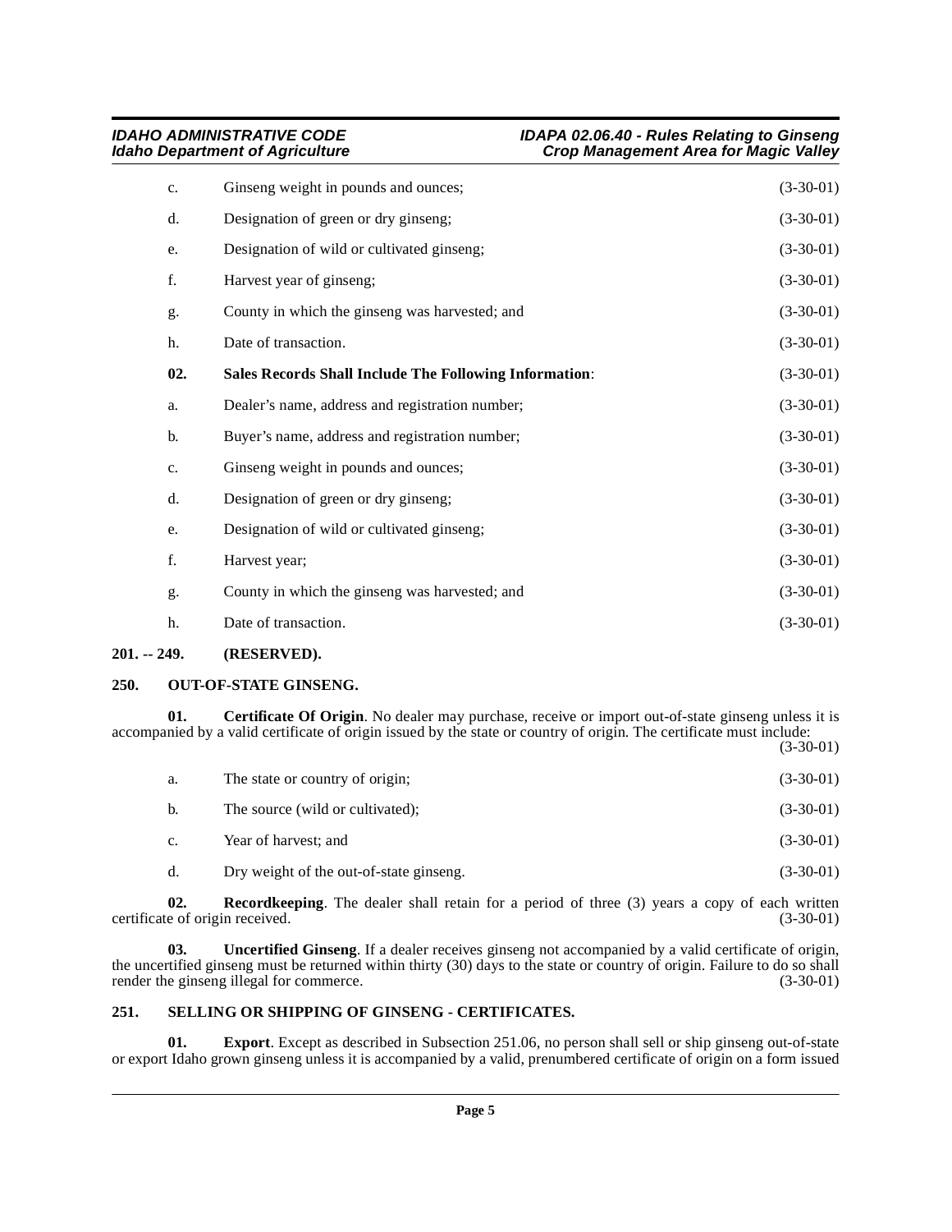<span id="page-4-7"></span>

| c.  | Ginseng weight in pounds and ounces;                          | $(3-30-01)$ |
|-----|---------------------------------------------------------------|-------------|
| d.  | Designation of green or dry ginseng;                          | $(3-30-01)$ |
| e.  | Designation of wild or cultivated ginseng;                    | $(3-30-01)$ |
| f.  | Harvest year of ginseng;                                      | $(3-30-01)$ |
| g.  | County in which the ginseng was harvested; and                | $(3-30-01)$ |
| h.  | Date of transaction.                                          | $(3-30-01)$ |
| 02. | <b>Sales Records Shall Include The Following Information:</b> | $(3-30-01)$ |
| a.  | Dealer's name, address and registration number;               | $(3-30-01)$ |
| b.  | Buyer's name, address and registration number;                | $(3-30-01)$ |
| c.  | Ginseng weight in pounds and ounces;                          | $(3-30-01)$ |
| d.  | Designation of green or dry ginseng;                          | $(3-30-01)$ |
| e.  | Designation of wild or cultivated ginseng;                    | $(3-30-01)$ |
| f.  | Harvest year;                                                 | $(3-30-01)$ |
| g.  | County in which the ginseng was harvested; and                | $(3-30-01)$ |
| h.  | Date of transaction.                                          | $(3-30-01)$ |
|     |                                                               |             |

### <span id="page-4-0"></span>**201. -- 249. (RESERVED).**

### <span id="page-4-5"></span><span id="page-4-1"></span>**250. OUT-OF-STATE GINSENG.**

**01.** Certificate Of Origin. No dealer may purchase, receive or import out-of-state ginseng unless it is accompanied by a valid certificate of origin issued by the state or country of origin. The certificate must include: (3-30-01)

<span id="page-4-3"></span>

| а.             | The state or country of origin;         | $(3-30-01)$ |
|----------------|-----------------------------------------|-------------|
| b.             | The source (wild or cultivated);        | $(3-30-01)$ |
| $\mathbf{c}$ . | Year of harvest; and                    | $(3-30-01)$ |
| d.             | Dry weight of the out-of-state ginseng. | $(3-30-01)$ |

<span id="page-4-6"></span>**02. Recordkeeping**. The dealer shall retain for a period of three (3) years a copy of each written e of origin received. (3-30-01) certificate of origin received.

<span id="page-4-9"></span>**03. Uncertified Ginseng**. If a dealer receives ginseng not accompanied by a valid certificate of origin, the uncertified ginseng must be returned within thirty (30) days to the state or country of origin. Failure to do so shall render the ginseng illegal for commerce. (3-30-01)

# <span id="page-4-8"></span><span id="page-4-2"></span>**251. SELLING OR SHIPPING OF GINSENG - CERTIFICATES.**

<span id="page-4-4"></span>**01. Export**. Except as described in Subsection 251.06, no person shall sell or ship ginseng out-of-state or export Idaho grown ginseng unless it is accompanied by a valid, prenumbered certificate of origin on a form issued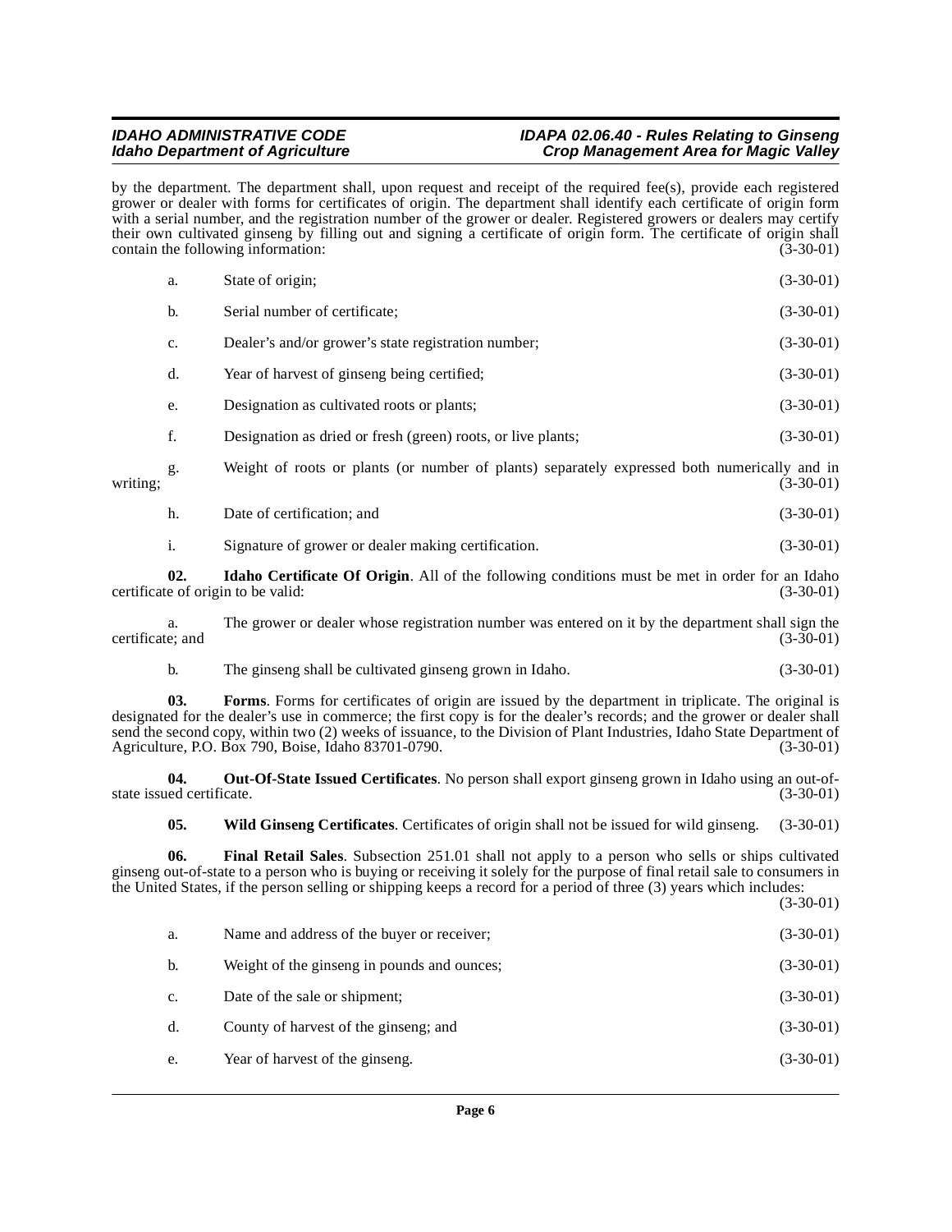#### **IDAHO ADMINISTRATIVE CODE IDAPA 02.06.40 - Rules Relating to Ginseng<br>Idaho Department of Agriculture in the set of the Crop Management Area for Magic Valley Crop Management Area for Magic Valley**

by the department. The department shall, upon request and receipt of the required fee(s), provide each registered grower or dealer with forms for certificates of origin. The department shall identify each certificate of origin form with a serial number, and the registration number of the grower or dealer. Registered growers or dealers may certify their own cultivated ginseng by filling out and signing a certificate of origin form. The certificate of origin shall contain the following information: (3-30-01)

|          | b.  | Serial number of certificate;                                                                         | $(3-30-01)$ |
|----------|-----|-------------------------------------------------------------------------------------------------------|-------------|
|          | c.  | Dealer's and/or grower's state registration number;                                                   | $(3-30-01)$ |
|          | d.  | Year of harvest of ginseng being certified;                                                           | $(3-30-01)$ |
|          | e.  | Designation as cultivated roots or plants;                                                            | $(3-30-01)$ |
|          | f.  | Designation as dried or fresh (green) roots, or live plants;                                          | $(3-30-01)$ |
| writing: | g.  | Weight of roots or plants (or number of plants) separately expressed both numerically and in          | $(3-30-01)$ |
|          | h.  | Date of certification; and                                                                            | $(3-30-01)$ |
|          | i.  | Signature of grower or dealer making certification.                                                   | $(3-30-01)$ |
|          | 02. | <b>Idaho Certificate Of Origin.</b> All of the following conditions must be met in order for an Idaho |             |

<span id="page-5-1"></span>certificate of origin to be valid: (3-30-01)

a. The grower or dealer whose registration number was entered on it by the department shall sign the e; and  $(3-30-01)$ certificate; and

b. The ginseng shall be cultivated ginseng grown in Idaho. (3-30-01)

**03. Forms**. Forms for certificates of origin are issued by the department in triplicate. The original is designated for the dealer's use in commerce; the first copy is for the dealer's records; and the grower or dealer shall send the second copy, within two (2) weeks of issuance, to the Division of Plant Industries, Idaho State Department of Agriculture, P.O. Box 790, Boise, Idaho 83701-0790. (3-30-01)

**04. Out-Of-State Issued Certificates**. No person shall export ginseng grown in Idaho using an out-ofstate issued certificate.

<span id="page-5-3"></span><span id="page-5-2"></span><span id="page-5-0"></span>**05. Wild Ginseng Certificates**. Certificates of origin shall not be issued for wild ginseng. (3-30-01)

**06. Final Retail Sales**. Subsection 251.01 shall not apply to a person who sells or ships cultivated ginseng out-of-state to a person who is buying or receiving it solely for the purpose of final retail sale to consumers in the United States, if the person selling or shipping keeps a record for a period of three (3) years which includes:

(3-30-01)

| a.             | Name and address of the buyer or receiver;  | $(3-30-01)$ |
|----------------|---------------------------------------------|-------------|
| $\mathbf{b}$ . | Weight of the ginseng in pounds and ounces; | $(3-30-01)$ |
| $C_{\star}$    | Date of the sale or shipment;               | $(3-30-01)$ |
| $d_{\cdot}$    | County of harvest of the ginseng; and       | $(3-30-01)$ |
| e.             | Year of harvest of the ginseng.             | $(3-30-01)$ |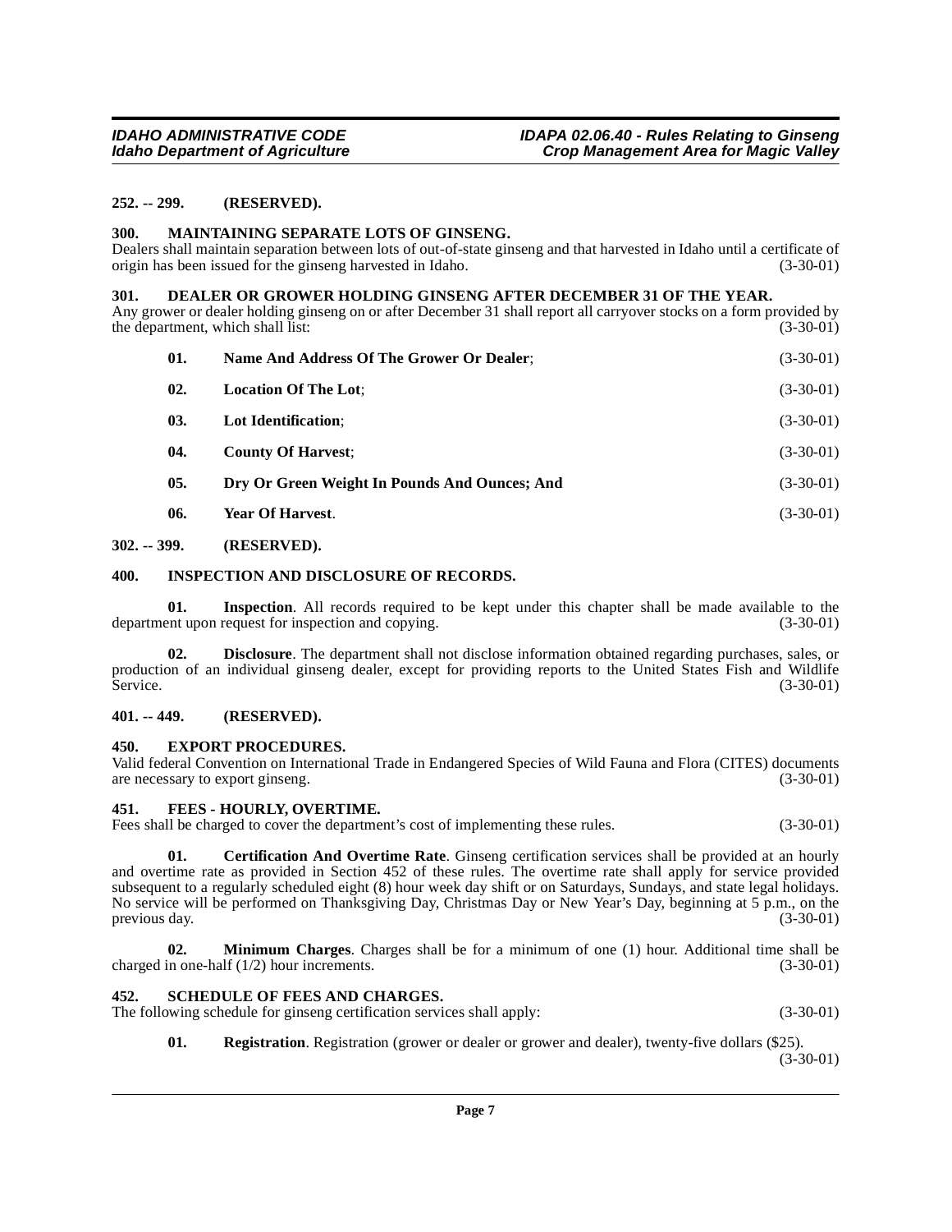#### <span id="page-6-0"></span>**252. -- 299. (RESERVED).**

#### <span id="page-6-14"></span><span id="page-6-1"></span>**300. MAINTAINING SEPARATE LOTS OF GINSENG.**

Dealers shall maintain separation between lots of out-of-state ginseng and that harvested in Idaho until a certificate of origin has been issued for the ginseng harvested in Idaho. (3-30-01)

#### <span id="page-6-10"></span><span id="page-6-2"></span>**301. DEALER OR GROWER HOLDING GINSENG AFTER DECEMBER 31 OF THE YEAR.**

Any grower or dealer holding ginseng on or after December 31 shall report all carryover stocks on a form provided by the department, which shall list: (3-30-01)

| 01. | Name And Address Of The Grower Or Dealer:     | $(3-30-01)$ |
|-----|-----------------------------------------------|-------------|
| 02. | <b>Location Of The Lot;</b>                   | $(3-30-01)$ |
| 03. | Lot Identification:                           | $(3-30-01)$ |
| 04. | <b>County Of Harvest:</b>                     | $(3-30-01)$ |
| 05. | Dry Or Green Weight In Pounds And Ounces; And | $(3-30-01)$ |
| 06. | Year Of Harvest.                              | $(3-30-01)$ |
|     |                                               |             |

#### <span id="page-6-3"></span>**302. -- 399. (RESERVED).**

#### <span id="page-6-13"></span><span id="page-6-4"></span>**400. INSPECTION AND DISCLOSURE OF RECORDS.**

**01.** Inspection. All records required to be kept under this chapter shall be made available to the ent upon request for inspection and copying. (3-30-01) department upon request for inspection and copying.

**02. Disclosure**. The department shall not disclose information obtained regarding purchases, sales, or production of an individual ginseng dealer, except for providing reports to the United States Fish and Wildlife<br>Service. (3-30-01) Service. (3-30-01)

#### <span id="page-6-5"></span>**401. -- 449. (RESERVED).**

#### <span id="page-6-11"></span><span id="page-6-6"></span>**450. EXPORT PROCEDURES.**

Valid federal Convention on International Trade in Endangered Species of Wild Fauna and Flora (CITES) documents are necessary to export ginseng. (3-30-01)

#### <span id="page-6-12"></span><span id="page-6-7"></span>**451. FEES - HOURLY, OVERTIME.**

Fees shall be charged to cover the department's cost of implementing these rules. (3-30-01)

<span id="page-6-9"></span>**01. Certification And Overtime Rate**. Ginseng certification services shall be provided at an hourly and overtime rate as provided in Section 452 of these rules. The overtime rate shall apply for service provided subsequent to a regularly scheduled eight (8) hour week day shift or on Saturdays, Sundays, and state legal holidays. No service will be performed on Thanksgiving Day, Christmas Day or New Year's Day, beginning at 5 p.m., on the previous day. (3-30-01)

**02. Minimum Charges**. Charges shall be for a minimum of one (1) hour. Additional time shall be in one-half (1/2) hour increments. (3-30-01) charged in one-half  $(1/2)$  hour increments.

#### <span id="page-6-16"></span><span id="page-6-8"></span>**452. SCHEDULE OF FEES AND CHARGES.**

The following schedule for ginseng certification services shall apply: (3-30-01) (3-30-01)

<span id="page-6-15"></span>**01.** Registration. Registration (grower or dealer or grower and dealer), twenty-five dollars (\$25).

(3-30-01)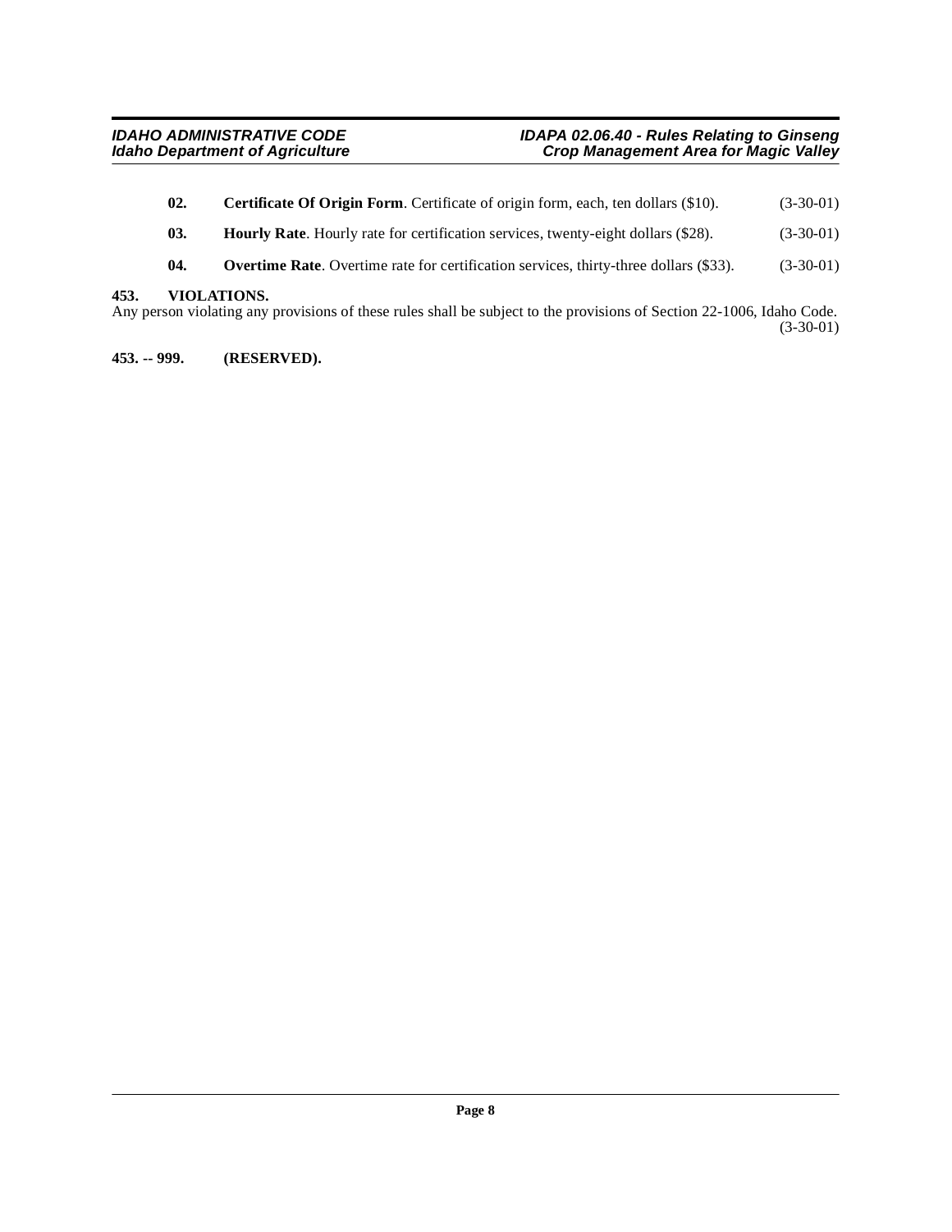- <span id="page-7-2"></span>**02.** Certificate Of Origin Form. Certificate of origin form, each, ten dollars (\$10). (3-30-01)
- <span id="page-7-3"></span>**03.** Hourly Rate. Hourly rate for certification services, twenty-eight dollars (\$28). (3-30-01)
- <span id="page-7-4"></span>**04.** Overtime Rate. Overtime rate for certification services, thirty-three dollars (\$33). (3-30-01)

#### <span id="page-7-0"></span>**453. VIOLATIONS.**

Any person violating any provisions of these rules shall be subject to the provisions of Section 22-1006, Idaho Code. (3-30-01)

<span id="page-7-1"></span>**453. -- 999. (RESERVED).**